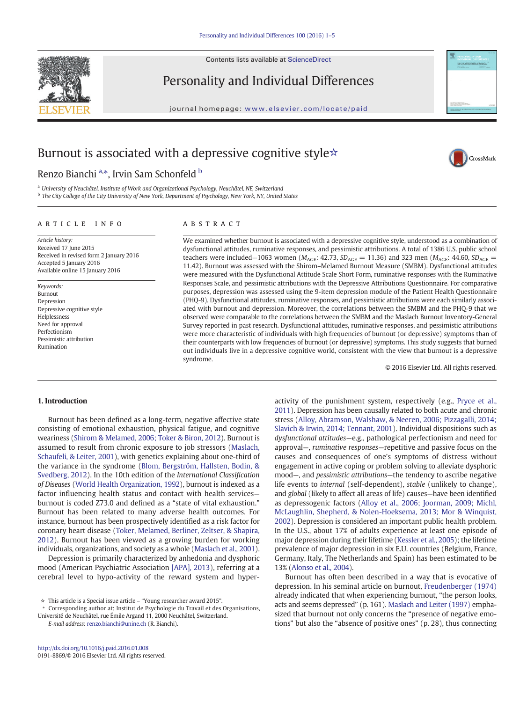Contents lists available at ScienceDirect



Personality and Individual Differences

journal homepage: <www.elsevier.com/locate/paid>



CrossMark

# Burnout is associated with a depressive cognitive style☆

Renzo Bianchi <sup>a,\*</sup>, Irvin Sam Schonfeld <sup>b</sup>

<sup>a</sup> University of Neuchâtel, Institute of Work and Organizational Psychology, Neuchâtel, NE, Switzerland <sup>b</sup> The City College of the City University of New York, Department of Psychology, New York, NY, United States

#### article info abstract

Article history: Received 17 June 2015 Received in revised form 2 January 2016 Accepted 5 January 2016 Available online 15 January 2016

Keywords: Burnout Depression Depressive cognitive style Helplessness Need for approval Perfectionism Pessimistic attribution Rumination

We examined whether burnout is associated with a depressive cognitive style, understood as a combination of dysfunctional attitudes, ruminative responses, and pessimistic attributions. A total of 1386 U.S. public school teachers were included–1063 women ( $M_{\text{AGE}}$ : 42.73,  $SD_{\text{AGE}} = 11.36$ ) and 323 men ( $M_{\text{AGE}}$ : 44.60,  $SD_{\text{AGE}} =$ 11.42). Burnout was assessed with the Shirom–Melamed Burnout Measure (SMBM). Dysfunctional attitudes were measured with the Dysfunctional Attitude Scale Short Form, ruminative responses with the Ruminative Responses Scale, and pessimistic attributions with the Depressive Attributions Questionnaire. For comparative purposes, depression was assessed using the 9-item depression module of the Patient Health Questionnaire (PHQ-9). Dysfunctional attitudes, ruminative responses, and pessimistic attributions were each similarly associated with burnout and depression. Moreover, the correlations between the SMBM and the PHQ-9 that we observed were comparable to the correlations between the SMBM and the Maslach Burnout Inventory-General Survey reported in past research. Dysfunctional attitudes, ruminative responses, and pessimistic attributions were more characteristic of individuals with high frequencies of burnout (or depressive) symptoms than of their counterparts with low frequencies of burnout (or depressive) symptoms. This study suggests that burned out individuals live in a depressive cognitive world, consistent with the view that burnout is a depressive syndrome.

© 2016 Elsevier Ltd. All rights reserved.

#### 1. Introduction

Burnout has been defined as a long-term, negative affective state consisting of emotional exhaustion, physical fatigue, and cognitive weariness ([Shirom & Melamed, 2006; Toker & Biron, 2012\)](#page-4-0). Burnout is assumed to result from chronic exposure to job stressors ([Maslach,](#page-4-0) [Schaufeli, & Leiter, 2001](#page-4-0)), with genetics explaining about one-third of the variance in the syndrome ([Blom, Bergström, Hallsten, Bodin, &](#page-4-0) [Svedberg, 2012](#page-4-0)). In the 10th edition of the International Classification of Diseases [\(World Health Organization, 1992](#page-4-0)), burnout is indexed as a factor influencing health status and contact with health services burnout is coded Z73.0 and defined as a "state of vital exhaustion." Burnout has been related to many adverse health outcomes. For instance, burnout has been prospectively identified as a risk factor for coronary heart disease [\(Toker, Melamed, Berliner, Zeltser, & Shapira,](#page-4-0) [2012\)](#page-4-0). Burnout has been viewed as a growing burden for working individuals, organizations, and society as a whole ([Maslach et al., 2001](#page-4-0)).

Depression is primarily characterized by anhedonia and dysphoric mood (American Psychiatric Association [\[APA\], 2013](#page-4-0)), referring at a cerebral level to hypo-activity of the reward system and hyper-

⁎ Corresponding author at: Institut de Psychologie du Travail et des Organisations, Université de Neuchâtel, rue Émile Argand 11, 2000 Neuchâtel, Switzerland. E-mail address: [renzo.bianchi@unine.ch](mailto:renzo.bianchi@unine.ch) (R. Bianchi).

<http://dx.doi.org/10.1016/j.paid.2016.01.008> 0191-8869/© 2016 Elsevier Ltd. All rights reserved. activity of the punishment system, respectively (e.g., [Pryce et al.,](#page-4-0) [2011](#page-4-0)). Depression has been causally related to both acute and chronic stress [\(Alloy, Abramson, Walshaw, & Neeren, 2006; Pizzagalli, 2014;](#page-4-0) [Slavich & Irwin, 2014; Tennant, 2001\)](#page-4-0). Individual dispositions such as dysfunctional attitudes—e.g., pathological perfectionism and need for approval—, ruminative responses—repetitive and passive focus on the causes and consequences of one's symptoms of distress without engagement in active coping or problem solving to alleviate dysphoric mood—, and pessimistic attributions—the tendency to ascribe negative life events to internal (self-dependent), stable (unlikely to change), and global (likely to affect all areas of life) causes—have been identified as depressogenic factors [\(Alloy et al., 2006; Joorman, 2009; Michl,](#page-4-0) [McLaughlin, Shepherd, & Nolen-Hoeksema, 2013; Mor & Winquist,](#page-4-0) [2002\)](#page-4-0). Depression is considered an important public health problem. In the U.S., about 17% of adults experience at least one episode of major depression during their lifetime [\(Kessler et al., 2005](#page-4-0)); the lifetime prevalence of major depression in six E.U. countries (Belgium, France, Germany, Italy, The Netherlands and Spain) has been estimated to be 13% ([Alonso et al., 2004\)](#page-4-0).

Burnout has often been described in a way that is evocative of depression. In his seminal article on burnout, [Freudenberger \(1974\)](#page-4-0) already indicated that when experiencing burnout, "the person looks, acts and seems depressed" (p. 161). [Maslach and Leiter \(1997\)](#page-4-0) emphasized that burnout not only concerns the "presence of negative emotions" but also the "absence of positive ones" (p. 28), thus connecting

<sup>☆</sup> This article is a Special issue article – "Young researcher award 2015".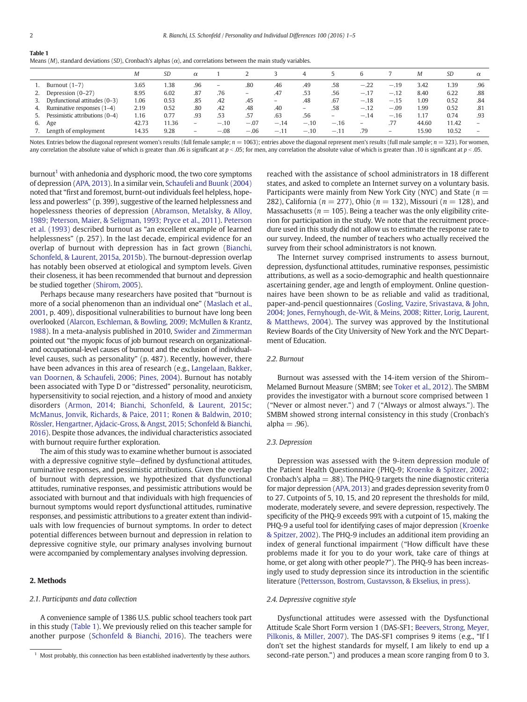<span id="page-1-0"></span>

| <b>Table 1</b> |                                                                                                                         |  |
|----------------|-------------------------------------------------------------------------------------------------------------------------|--|
|                | Means (M), standard deviations (SD), Cronbach's alphas ( $\alpha$ ), and correlations between the main study variables. |  |

|    |                                | M     | SD    | $\alpha$                 |                          |                          |        | д                        |                   |                   |                          | M     | SD    | $\alpha$ |
|----|--------------------------------|-------|-------|--------------------------|--------------------------|--------------------------|--------|--------------------------|-------------------|-------------------|--------------------------|-------|-------|----------|
|    | Burnout $(1-7)$                | 3.65  | 1.38  | .96                      | $\overline{\phantom{m}}$ | .80                      | .46    | .49                      | .58               | $-.22$            | $-.19$                   | 3.42  | 1.39  | .96      |
| 2. | Depression (0-27)              | 8.95  | 6.02  | .87                      | .76                      | $\overline{\phantom{m}}$ | .47    | .53                      | .56               | $-.17$            | $-.12$                   | 8.40  | 6.22  | .88      |
| 3. | Dysfunctional attitudes (0-3)  | 1.06  | 0.53  | .85                      | .42                      | .45                      | -      | .48                      | .67               | $-.18$            | $-.15$                   | 1.09  | 0.52  | .84      |
| 4. | Ruminative responses $(1-4)$   | 2.19  | 0.52  | .80                      | .42                      | .48                      | .40    | $\overline{\phantom{m}}$ | .58               | $-.12$            | $-.09$                   | 1.99  | 0.52  | .81      |
| 5. | Pessimistic attributions (0-4) | 1.16  | 0.77  | .93                      | .53                      | .57                      | .63    | .56                      | $\qquad \qquad =$ | $-.14$            | $-.16$                   | 1.17  | 0.74  | .93      |
| 6. | Age                            | 42.73 | 11.36 | $\overline{\phantom{m}}$ | $-.10$                   | $-.07$                   | $-.14$ | $-.10$                   | $-.16$            | $\qquad \qquad -$ |                          | 44.60 | 11.42 | -        |
|    | Length of employment           | 14.35 | 9.28  | $\overline{\phantom{0}}$ | $-.08$                   | $-.06$                   | $-.11$ | $-.10$                   | $-.11$            | .79               | $\overline{\phantom{0}}$ | 15.90 | 10.52 | -        |

Notes. Entries below the diagonal represent women's results (full female sample;  $n = 1063$ ); entries above the diagonal represent men's results (full male sample;  $n = 323$ ). For women, any correlation the absolute value of which is greater than .06 is significant at  $p < 0.05$ ; for men, any correlation the absolute value of which is greater than .10 is significant at  $p < 0.05$ .

 $burnout<sup>1</sup>$  with anhedonia and dysphoric mood, the two core symptoms of depression ([APA, 2013\)](#page-4-0). In a similar vein, [Schaufeli and Buunk \(2004\)](#page-4-0) noted that "first and foremost, burnt-out individuals feel helpless, hopeless and powerless" (p. 399), suggestive of the learned helplessness and hopelessness theories of depression ([Abramson, Metalsky, & Alloy,](#page-4-0) [1989; Peterson, Maier, & Seligman, 1993; Pryce et al., 2011\)](#page-4-0). [Peterson](#page-4-0) [et al. \(1993\)](#page-4-0) described burnout as "an excellent example of learned helplessness" (p. 257). In the last decade, empirical evidence for an overlap of burnout with depression has in fact grown ([Bianchi,](#page-4-0) [Schonfeld, & Laurent, 2015a, 2015b](#page-4-0)). The burnout-depression overlap has notably been observed at etiological and symptom levels. Given their closeness, it has been recommended that burnout and depression be studied together ([Shirom, 2005\)](#page-4-0).

Perhaps because many researchers have posited that "burnout is more of a social phenomenon than an individual one" ([Maslach et al.,](#page-4-0) [2001,](#page-4-0) p. 409), dispositional vulnerabilities to burnout have long been overlooked ([Alarcon, Eschleman, & Bowling, 2009; McMullen & Krantz,](#page-4-0) [1988\)](#page-4-0). In a meta-analysis published in 2010, [Swider and Zimmerman](#page-4-0) pointed out "the myopic focus of job burnout research on organizationaland occupational-level causes of burnout and the exclusion of individuallevel causes, such as personality" (p. 487). Recently, however, there have been advances in this area of research (e.g., [Langelaan, Bakker,](#page-4-0) [van Doornen, & Schaufeli, 2006; Pines, 2004](#page-4-0)). Burnout has notably been associated with Type D or "distressed" personality, neuroticism, hypersensitivity to social rejection, and a history of mood and anxiety disorders ([Armon, 2014; Bianchi, Schonfeld, & Laurent, 2015c;](#page-4-0) [McManus, Jonvik, Richards, & Paice, 2011; Ronen & Baldwin, 2010;](#page-4-0) [Rössler, Hengartner, Ajdacic-Gross, & Angst, 2015; Schonfeld & Bianchi,](#page-4-0) [2016\)](#page-4-0). Despite those advances, the individual characteristics associated with burnout require further exploration.

The aim of this study was to examine whether burnout is associated with a depressive cognitive style—defined by dysfunctional attitudes, ruminative responses, and pessimistic attributions. Given the overlap of burnout with depression, we hypothesized that dysfunctional attitudes, ruminative responses, and pessimistic attributions would be associated with burnout and that individuals with high frequencies of burnout symptoms would report dysfunctional attitudes, ruminative responses, and pessimistic attributions to a greater extent than individuals with low frequencies of burnout symptoms. In order to detect potential differences between burnout and depression in relation to depressive cognitive style, our primary analyses involving burnout were accompanied by complementary analyses involving depression.

### 2. Methods

### 2.1. Participants and data collection

A convenience sample of 1386 U.S. public school teachers took part in this study (Table 1). We previously relied on this teacher sample for another purpose ([Schonfeld & Bianchi, 2016\)](#page-4-0). The teachers were

reached with the assistance of school administrators in 18 different states, and asked to complete an Internet survey on a voluntary basis. Participants were mainly from New York City (NYC) and State ( $n =$ 282), California ( $n = 277$ ), Ohio ( $n = 132$ ), Missouri ( $n = 128$ ), and Massachusetts ( $n = 105$ ). Being a teacher was the only eligibility criterion for participation in the study. We note that the recruitment procedure used in this study did not allow us to estimate the response rate to our survey. Indeed, the number of teachers who actually received the survey from their school administrators is not known.

The Internet survey comprised instruments to assess burnout, depression, dysfunctional attitudes, ruminative responses, pessimistic attributions, as well as a socio-demographic and health questionnaire ascertaining gender, age and length of employment. Online questionnaires have been shown to be as reliable and valid as traditional, paper-and-pencil questionnaires ([Gosling, Vazire, Srivastava, & John,](#page-4-0) [2004; Jones, Fernyhough, de-Wit, & Meins, 2008; Ritter, Lorig, Laurent,](#page-4-0) [& Matthews, 2004\)](#page-4-0). The survey was approved by the Institutional Review Boards of the City University of New York and the NYC Department of Education.

#### 2.2. Burnout

Burnout was assessed with the 14-item version of the Shirom– Melamed Burnout Measure (SMBM; see [Toker et al., 2012\)](#page-4-0). The SMBM provides the investigator with a burnout score comprised between 1 ("Never or almost never.") and 7 ("Always or almost always."). The SMBM showed strong internal consistency in this study (Cronbach's  $alpha = .96$ ).

#### 2.3. Depression

Depression was assessed with the 9-item depression module of the Patient Health Questionnaire (PHQ-9; [Kroenke & Spitzer, 2002](#page-4-0); Cronbach's alpha  $=$  .88). The PHQ-9 targets the nine diagnostic criteria for major depression [\(APA, 2013](#page-4-0)) and grades depression severity from 0 to 27. Cutpoints of 5, 10, 15, and 20 represent the thresholds for mild, moderate, moderately severe, and severe depression, respectively. The specificity of the PHQ-9 exceeds 99% with a cutpoint of 15, making the PHQ-9 a useful tool for identifying cases of major depression [\(Kroenke](#page-4-0) [& Spitzer, 2002\)](#page-4-0). The PHQ-9 includes an additional item providing an index of general functional impairment ("How difficult have these problems made it for you to do your work, take care of things at home, or get along with other people?"). The PHQ-9 has been increasingly used to study depression since its introduction in the scientific literature [\(Pettersson, Bostrom, Gustavsson, & Ekselius, in press\)](#page-4-0).

#### 2.4. Depressive cognitive style

Dysfunctional attitudes were assessed with the Dysfunctional Attitude Scale Short Form version 1 (DAS-SF1; [Beevers, Strong, Meyer,](#page-4-0) [Pilkonis, & Miller, 2007\)](#page-4-0). The DAS-SF1 comprises 9 items (e.g., "If I don't set the highest standards for myself, I am likely to end up a <sup>1</sup> Most probably, this connection has been established inadvertently by these authors. second-rate person.") and produces a mean score ranging from 0 to 3.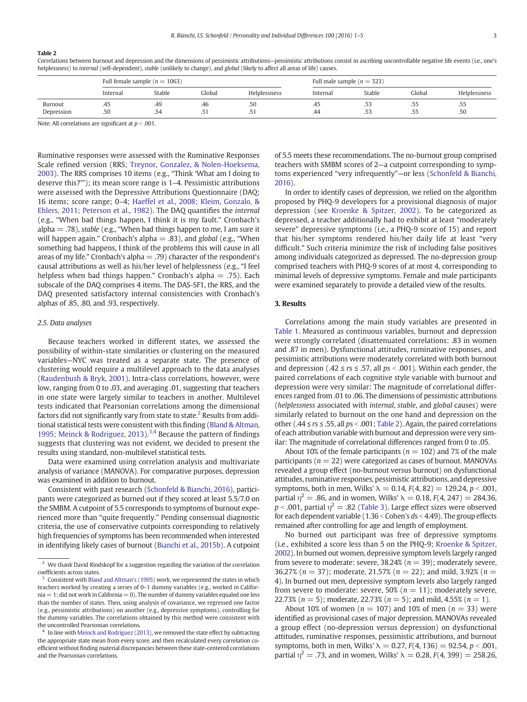#### Table 2

Correlations between burnout and depression and the dimensions of pessimistic attributions—pessimistic attributions consist in ascribing uncontrollable negative life events (i.e., one's helplessness) to internal (self-dependent), stable (unlikely to change), and global (likely to affect all areas of life) causes.

|                       |            | Full female sample ( $n = 1063$ ) |                |                | Full male sample ( $n = 323$ ) |                    |            |              |  |  |
|-----------------------|------------|-----------------------------------|----------------|----------------|--------------------------------|--------------------|------------|--------------|--|--|
|                       | Internal   | Stable                            | Global         | Helplessness   | Internal                       | Stable             | Global     | Helplessness |  |  |
| Burnout<br>Depression | د4.<br>.50 | .49<br>.54                        | .46<br>$\cdot$ | .50<br>$\cdot$ | 45.<br>.44                     | .53<br>$-1$<br>.53 | ככ.<br>ככ. | ככ.<br>.50   |  |  |

Note. All correlations are significant at  $p < .001$ .

Ruminative responses were assessed with the Ruminative Responses Scale refined version (RRS; [Treynor, Gonzalez, & Nolen-Hoeksema,](#page-4-0) [2003\)](#page-4-0). The RRS comprises 10 items (e.g., "Think 'What am I doing to deserve this?'"); its mean score range is 1–4. Pessimistic attributions were assessed with the Depressive Attributions Questionnaire (DAQ; 16 items; score range; 0–4; [Haeffel et al., 2008; Kleim, Gonzalo, &](#page-4-0) [Ehlers, 2011; Peterson et al., 1982](#page-4-0)). The DAQ quantifies the internal (e.g., "When bad things happen, I think it is my fault." Cronbach's alpha  $=$  .78), stable (e.g., "When bad things happen to me, I am sure it will happen again." Cronbach's alpha  $=$  .83), and global (e.g., "When something bad happens, I think of the problems this will cause in all areas of my life." Cronbach's alpha  $=$  .79) character of the respondent's causal attributions as well as his/her level of helplessness (e.g., "I feel helpless when bad things happen." Cronbach's alpha  $=$  .75). Each subscale of the DAQ comprises 4 items. The DAS-SF1, the RRS, and the DAQ presented satisfactory internal consistencies with Cronbach's alphas of .85, .80, and .93, respectively.

#### 2.5. Data analyses

Because teachers worked in different states, we assessed the possibility of within-state similarities or clustering on the measured variables—NYC was treated as a separate state. The presence of clustering would require a multilevel approach to the data analyses [\(Raudenbush & Bryk, 2001\)](#page-4-0). Intra-class correlations, however, were low, ranging from 0 to .03, and averaging .01, suggesting that teachers in one state were largely similar to teachers in another. Multilevel tests indicated that Pearsonian correlations among the dimensional factors did not significantly vary from state to state.<sup>2</sup> Results from additional statistical tests were consistent with this finding [\(Bland & Altman,](#page-4-0) [1995; Meinck & Rodriguez, 2013\)](#page-4-0).<sup>3,4</sup> Because the pattern of findings suggests that clustering was not evident, we decided to present the results using standard, non-multilevel statistical tests.

Data were examined using correlation analysis and multivariate analysis of variance (MANOVA). For comparative purposes, depression was examined in addition to burnout.

Consistent with past research [\(Schonfeld & Bianchi, 2016\)](#page-4-0), participants were categorized as burned out if they scored at least 5.5/7.0 on the SMBM. A cutpoint of 5.5 corresponds to symptoms of burnout experienced more than "quite frequently." Pending consensual diagnostic criteria, the use of conservative cutpoints corresponding to relatively high frequencies of symptoms has been recommended when interested in identifying likely cases of burnout ([Bianchi et al., 2015b](#page-4-0)). A cutpoint of 5.5 meets these recommendations. The no-burnout group comprised teachers with SMBM scores of 2—a cutpoint corresponding to symptoms experienced "very infrequently"—or less [\(Schonfeld & Bianchi,](#page-4-0) [2016](#page-4-0)).

In order to identify cases of depression, we relied on the algorithm proposed by PHQ-9 developers for a provisional diagnosis of major depression (see [Kroenke & Spitzer, 2002\)](#page-4-0). To be categorized as depressed, a teacher additionally had to exhibit at least "moderately severe" depressive symptoms (i.e., a PHQ-9 score of 15) and report that his/her symptoms rendered his/her daily life at least "very difficult." Such criteria minimize the risk of including false positives among individuals categorized as depressed. The no-depression group comprised teachers with PHQ-9 scores of at most 4, corresponding to minimal levels of depressive symptoms. Female and male participants were examined separately to provide a detailed view of the results.

#### 3. Results

Correlations among the main study variables are presented in [Table 1.](#page-1-0) Measured as continuous variables, burnout and depression were strongly correlated (disattenuated correlations: .83 in women and .87 in men). Dysfunctional attitudes, ruminative responses, and pessimistic attributions were moderately correlated with both burnout and depression (.42  $\le$  rs  $\le$  .57, all ps < .001). Within each gender, the paired correlations of each cognitive style variable with burnout and depression were very similar: The magnitude of correlational differences ranged from .01 to .06. The dimensions of pessimistic attributions (helplessness associated with internal, stable, and global causes) were similarly related to burnout on the one hand and depression on the other (.44  $\leq$  rs  $\leq$  .55, all ps < .001; Table 2). Again, the paired correlations of each attribution variable with burnout and depression were very similar: The magnitude of correlational differences ranged from 0 to .05.

About 10% of the female participants ( $n = 102$ ) and 7% of the male participants ( $n = 22$ ) were categorized as cases of burnout. MANOVAs revealed a group effect (no-burnout versus burnout) on dysfunctional attitudes, ruminative responses, pessimistic attributions, and depressive symptoms, both in men, Wilks'  $\lambda = 0.14$ ,  $F(4, 82) = 129.24$ ,  $p < .001$ , partial  $\eta^2 = .86$ , and in women, Wilks'  $\lambda = 0.18$ ,  $F(4, 247) = 284.36$ ,  $p < .001$ , partial  $\eta^2 = .82$  ([Table 3\)](#page-3-0). Large effect sizes were observed for each dependent variable  $(1.36 <$  Cohen's ds  $<$  4.49). The group effects remained after controlling for age and length of employment.

No burned out participant was free of depressive symptoms (i.e., exhibited a score less than 5 on the PHQ-9; [Kroenke & Spitzer,](#page-4-0) [2002](#page-4-0)). In burned out women, depressive symptom levels largely ranged from severe to moderate: severe, 38.24% ( $n = 39$ ); moderately severe, 36.27% ( $n = 37$ ); moderate, 21.57% ( $n = 22$ ); and mild, 3.92% ( $n =$ 4). In burned out men, depressive symptom levels also largely ranged from severe to moderate: severe, 50% ( $n = 11$ ); moderately severe, 22.73% ( $n = 5$ ); moderate, 22.73% ( $n = 5$ ); and mild, 4.55% ( $n = 1$ ).

About 10% of women ( $n = 107$ ) and 10% of men ( $n = 33$ ) were identified as provisional cases of major depression. MANOVAs revealed a group effect (no-depression versus depression) on dysfunctional attitudes, ruminative responses, pessimistic attributions, and burnout symptoms, both in men, Wilks'  $\lambda = 0.27$ ,  $F(4, 136) = 92.54$ ,  $p < .001$ , partial  $\eta^2 = .73$ , and in women, Wilks'  $\lambda = 0.28$ ,  $F(4, 399) = 258.26$ ,

<sup>&</sup>lt;sup>2</sup> We thank David Rindskopf for a suggestion regarding the variation of the correlation coefficients across states.

<sup>&</sup>lt;sup>3</sup> Consistent with [Bland and Altman's \(1995\)](#page-4-0) work, we represented the states in which teachers worked by creating a series of 0–1 dummy variables (e.g., worked in Califor $nia = 1$ ; did not work in California  $= 0$ ). The number of dummy variables equaled one less than the number of states. Then, using analysis of covariance, we regressed one factor (e.g., pessimistic attributions) on another (e.g., depressive symptoms), controlling for the dummy variables. The correlations obtained by this method were consistent with the uncontrolled Pearsonian correlations.

<sup>&</sup>lt;sup>4</sup> In line with [Meinck and Rodriguez \(2013\)](#page-4-0), we removed the state effect by subtracting the appropriate state mean from every score, and then recalculated every correlation coefficient without finding material discrepancies between these state-centered correlations and the Pearsonian correlations.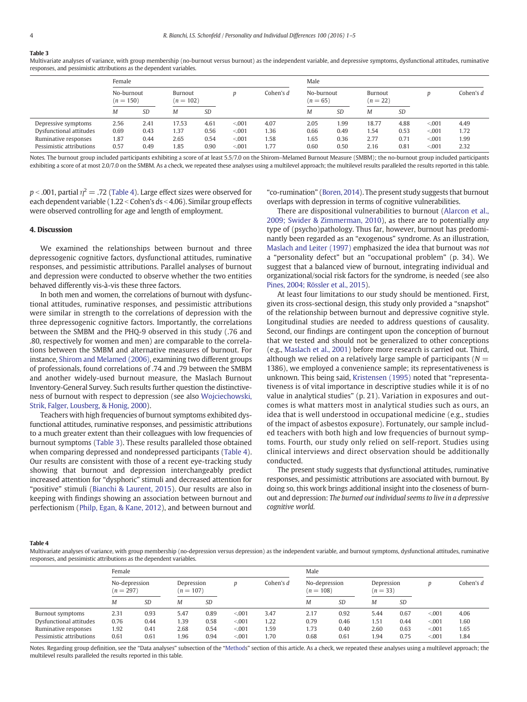## <span id="page-3-0"></span>Table 3

Multivariate analyses of variance, with group membership (no-burnout versus burnout) as the independent variable, and depressive symptoms, dysfunctional attitudes, ruminative responses, and pessimistic attributions as the dependent variables.

|                          | Female                    |           |                        |      |       |           | Male                     |           |                       |      |         |             |  |
|--------------------------|---------------------------|-----------|------------------------|------|-------|-----------|--------------------------|-----------|-----------------------|------|---------|-------------|--|
|                          | No-burnout<br>$(n = 150)$ |           | Burnout<br>$(n = 102)$ |      |       | Cohen's d | No-burnout<br>$(n = 65)$ |           | Burnout<br>$(n = 22)$ |      |         | Cohen's $d$ |  |
|                          | M                         | <b>SD</b> | M                      | SD   |       |           | M                        | <b>SD</b> | М                     | SD   |         |             |  |
| Depressive symptoms      | 2.56                      | 2.41      | 17.53                  | 4.61 | < 001 | 4.07      | 2.05                     | 1.99      | 18.77                 | 4.88 | < 0.001 | 4.49        |  |
| Dysfunctional attitudes  | 0.69                      | 0.43      | 1.37                   | 0.56 | < 001 | 1.36      | 0.66                     | 0.49      | 1.54                  | 0.53 | < 0.001 | 1.72        |  |
| Ruminative responses     | 1.87                      | 0.44      | 2.65                   | 0.54 | < 001 | 1.58      | 1.65                     | 0.36      | 2.77                  | 0.71 | < 0.001 | 1.99        |  |
| Pessimistic attributions | 0.57                      | 0.49      | 1.85                   | 0.90 | < 001 | 1.77      | 0.60                     | 0.50      | 2.16                  | 0.81 | < 0.001 | 2.32        |  |

Notes. The burnout group included participants exhibiting a score of at least 5.5/7.0 on the Shirom–Melamed Burnout Measure (SMBM); the no-burnout group included participants exhibiting a score of at most 2.0/7.0 on the SMBM. As a check, we repeated these analyses using a multilevel approach; the multilevel results paralleled the results reported in this table.

 $p < .001$ , partial  $\eta^2 = .72$  (Table 4). Large effect sizes were observed for each dependent variable (1.22 < Cohen's  $ds$  < 4.06). Similar group effects were observed controlling for age and length of employment.

### 4. Discussion

We examined the relationships between burnout and three depressogenic cognitive factors, dysfunctional attitudes, ruminative responses, and pessimistic attributions. Parallel analyses of burnout and depression were conducted to observe whether the two entities behaved differently vis-à-vis these three factors.

In both men and women, the correlations of burnout with dysfunctional attitudes, ruminative responses, and pessimistic attributions were similar in strength to the correlations of depression with the three depressogenic cognitive factors. Importantly, the correlations between the SMBM and the PHQ-9 observed in this study (.76 and .80, respectively for women and men) are comparable to the correlations between the SMBM and alternative measures of burnout. For instance, [Shirom and Melamed \(2006\)](#page-4-0), examining two different groups of professionals, found correlations of .74 and .79 between the SMBM and another widely-used burnout measure, the Maslach Burnout Inventory-General Survey. Such results further question the distinctiveness of burnout with respect to depression (see also [Wojciechowski,](#page-4-0) [Strik, Falger, Lousberg, & Honig, 2000\)](#page-4-0).

Teachers with high frequencies of burnout symptoms exhibited dysfunctional attitudes, ruminative responses, and pessimistic attributions to a much greater extent than their colleagues with low frequencies of burnout symptoms (Table 3). These results paralleled those obtained when comparing depressed and nondepressed participants (Table 4). Our results are consistent with those of a recent eye-tracking study showing that burnout and depression interchangeably predict increased attention for "dysphoric" stimuli and decreased attention for "positive" stimuli ([Bianchi & Laurent, 2015\)](#page-4-0). Our results are also in keeping with findings showing an association between burnout and perfectionism ([Philp, Egan, & Kane, 2012](#page-4-0)), and between burnout and "co-rumination" [\(Boren, 2014](#page-4-0)). The present study suggests that burnout overlaps with depression in terms of cognitive vulnerabilities.

There are dispositional vulnerabilities to burnout [\(Alarcon et al.,](#page-4-0) [2009; Swider & Zimmerman, 2010](#page-4-0)), as there are to potentially any type of (psycho)pathology. Thus far, however, burnout has predominantly been regarded as an "exogenous" syndrome. As an illustration, [Maslach and Leiter \(1997\)](#page-4-0) emphasized the idea that burnout was not a "personality defect" but an "occupational problem" (p. 34). We suggest that a balanced view of burnout, integrating individual and organizational/social risk factors for the syndrome, is needed (see also [Pines, 2004; Rössler et al., 2015\)](#page-4-0).

At least four limitations to our study should be mentioned. First, given its cross-sectional design, this study only provided a "snapshot" of the relationship between burnout and depressive cognitive style. Longitudinal studies are needed to address questions of causality. Second, our findings are contingent upon the conception of burnout that we tested and should not be generalized to other conceptions (e.g., [Maslach et al., 2001\)](#page-4-0) before more research is carried out. Third, although we relied on a relatively large sample of participants ( $N =$ 1386), we employed a convenience sample; its representativeness is unknown. This being said, [Kristensen \(1995\)](#page-4-0) noted that "representativeness is of vital importance in descriptive studies while it is of no value in analytical studies" (p. 21). Variation in exposures and outcomes is what matters most in analytical studies such as ours, an idea that is well understood in occupational medicine (e.g., studies of the impact of asbestos exposure). Fortunately, our sample included teachers with both high and low frequencies of burnout symptoms. Fourth, our study only relied on self-report. Studies using clinical interviews and direct observation should be additionally conducted.

The present study suggests that dysfunctional attitudes, ruminative responses, and pessimistic attributions are associated with burnout. By doing so, this work brings additional insight into the closeness of burnout and depression: The burned out individual seems to live in a depressive cognitive world.

#### Table 4

Multivariate analyses of variance, with group membership (no-depression versus depression) as the independent variable, and burnout symptoms, dysfunctional attitudes, ruminative responses, and pessimistic attributions as the dependent variables.

|                          | Female                       |           |                           |      |       |           | Male                         |      |                          |           |       |             |  |
|--------------------------|------------------------------|-----------|---------------------------|------|-------|-----------|------------------------------|------|--------------------------|-----------|-------|-------------|--|
|                          | No-depression<br>$(n = 297)$ |           | Depression<br>$(n = 107)$ |      |       | Cohen's d | No-depression<br>$(n = 108)$ |      | Depression<br>$(n = 33)$ |           |       | Cohen's $d$ |  |
|                          | Μ                            | <b>SD</b> | M                         | SD   |       |           | M                            | SD   | Μ                        | <b>SD</b> |       |             |  |
| Burnout symptoms         | 2.31                         | 0.93      | 5.47                      | 0.89 | < 001 | 3.47      | 2.17                         | 0.92 | 5.44                     | 0.67      | < 001 | 4.06        |  |
| Dysfunctional attitudes  | 0.76                         | 0.44      | 1.39                      | 0.58 | < 001 | 1.22      | 0.79                         | 0.46 | 1.51                     | 0.44      | < 001 | 1.60        |  |
| Ruminative responses     | 1.92                         | 0.41      | 2.68                      | 0.54 | < 001 | 1.59      | 1.73                         | 0.40 | 2.60                     | 0.63      | < 001 | 1.65        |  |
| Pessimistic attributions | 0.61                         | 0.61      | .96                       | 0.94 | < 001 | 1.70      | 0.68                         | 0.61 | 1.94                     | 0.75      | < 001 | 1.84        |  |

Notes. Regarding group definition, see the "Data analyses" subsection of the "[Method](#page-1-0)s" section of this article. As a check, we repeated these analyses using a multilevel approach; the multilevel results paralleled the results reported in this table.